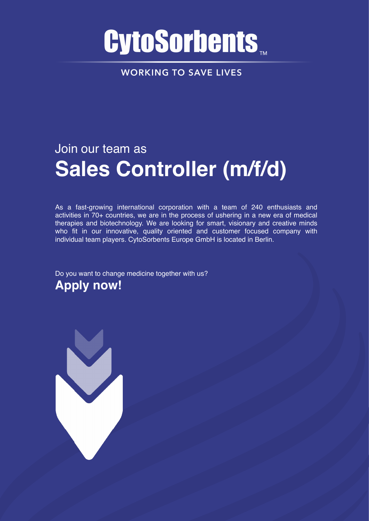# **CytoSorbents**

**WORKING TO SAVE LIVES** 

## Join our team as **Sales Controller (m/f/d)**

As a fast-growing international corporation with a team of 240 enthusiasts and activities in 70+ countries, we are in the process of ushering in a new era of medical therapies and biotechnology. We are looking for smart, visionary and creative minds who fit in our innovative, quality oriented and customer focused company with individual team players. CytoSorbents Europe GmbH is located in Berlin.

Do you want to change medicine together with us? **Apply now!** 

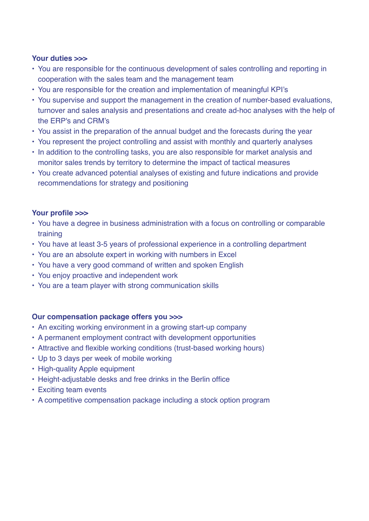#### **Your duties >>>**

- You are responsible for the continuous development of sales controlling and reporting in cooperation with the sales team and the management team
- You are responsible for the creation and implementation of meaningful KPI's
- You supervise and support the management in the creation of number-based evaluations, turnover and sales analysis and presentations and create ad-hoc analyses with the help of the ERP's and CRM's
- You assist in the preparation of the annual budget and the forecasts during the year
- You represent the project controlling and assist with monthly and quarterly analyses
- In addition to the controlling tasks, you are also responsible for market analysis and monitor sales trends by territory to determine the impact of tactical measures
- You create advanced potential analyses of existing and future indications and provide recommendations for strategy and positioning

#### **Your profile >>>**

- You have a degree in business administration with a focus on controlling or comparable training
- You have at least 3-5 years of professional experience in a controlling department
- You are an absolute expert in working with numbers in Excel
- You have a very good command of written and spoken English
- You enjoy proactive and independent work
- You are a team player with strong communication skills

#### **Our compensation package offers you >>>**

- An exciting working environment in a growing start-up company
- A permanent employment contract with development opportunities
- Attractive and flexible working conditions (trust-based working hours)
- Up to 3 days per week of mobile working
- High-quality Apple equipment
- Height-adjustable desks and free drinks in the Berlin office
- Exciting team events
- A competitive compensation package including a stock option program